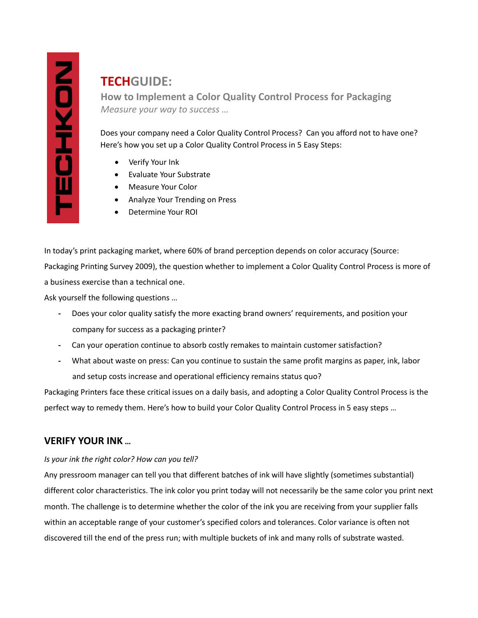# **TECHGUIDE:**

**How to Implement a Color Quality Control Process for Packaging** *Measure your way to success …*

Does your company need a Color Quality Control Process? Can you afford not to have one? Here's how you set up a Color Quality Control Process in 5 Easy Steps:

- Verify Your Ink
- Evaluate Your Substrate
- Measure Your Color
- Analyze Your Trending on Press
- Determine Your ROI

In today's print packaging market, where 60% of brand perception depends on color accuracy (Source: Packaging Printing Survey 2009), the question whether to implement a Color Quality Control Process is more of a business exercise than a technical one.

Ask yourself the following questions …

- **-** Does your color quality satisfy the more exacting brand owners' requirements, and position your company for success as a packaging printer?
- **-** Can your operation continue to absorb costly remakes to maintain customer satisfaction?
- **-** What about waste on press: Can you continue to sustain the same profit margins as paper, ink, labor and setup costs increase and operational efficiency remains status quo?

Packaging Printers face these critical issues on a daily basis, and adopting a Color Quality Control Process is the perfect way to remedy them. Here's how to build your Color Quality Control Process in 5 easy steps …

# **VERIFY YOUR INK …**

### *Is your ink the right color? How can you tell?*

Any pressroom manager can tell you that different batches of ink will have slightly (sometimes substantial) different color characteristics. The ink color you print today will not necessarily be the same color you print next month. The challenge is to determine whether the color of the ink you are receiving from your supplier falls within an acceptable range of your customer's specified colors and tolerances. Color variance is often not discovered till the end of the press run; with multiple buckets of ink and many rolls of substrate wasted.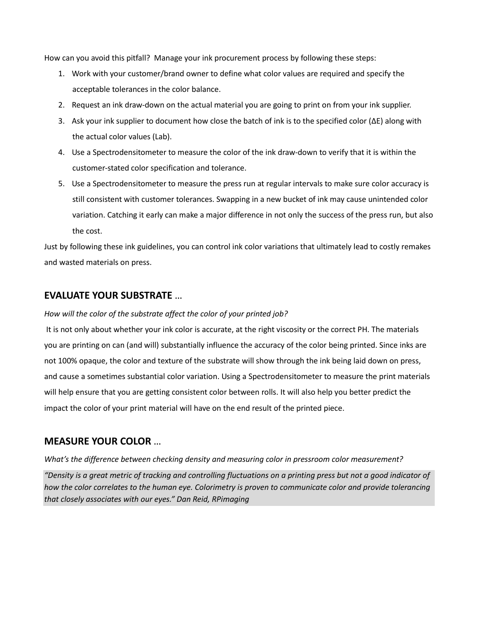How can you avoid this pitfall? Manage your ink procurement process by following these steps:

- 1. Work with your customer/brand owner to define what color values are required and specify the acceptable tolerances in the color balance.
- 2. Request an ink draw-down on the actual material you are going to print on from your ink supplier.
- 3. Ask your ink supplier to document how close the batch of ink is to the specified color (∆E) along with the actual color values (Lab).
- 4. Use a Spectrodensitometer to measure the color of the ink draw-down to verify that it is within the customer-stated color specification and tolerance.
- 5. Use a Spectrodensitometer to measure the press run at regular intervals to make sure color accuracy is still consistent with customer tolerances. Swapping in a new bucket of ink may cause unintended color variation. Catching it early can make a major difference in not only the success of the press run, but also the cost.

Just by following these ink guidelines, you can control ink color variations that ultimately lead to costly remakes and wasted materials on press.

### **EVALUATE YOUR SUBSTRATE** …

#### *How will the color of the substrate affect the color of your printed job?*

It is not only about whether your ink color is accurate, at the right viscosity or the correct PH. The materials you are printing on can (and will) substantially influence the accuracy of the color being printed. Since inks are not 100% opaque, the color and texture of the substrate will show through the ink being laid down on press, and cause a sometimes substantial color variation. Using a Spectrodensitometer to measure the print materials will help ensure that you are getting consistent color between rolls. It will also help you better predict the impact the color of your print material will have on the end result of the printed piece.

### **MEASURE YOUR COLOR** …

*What's the difference between checking density and measuring color in pressroom color measurement?*

*"Density is a great metric of tracking and controlling fluctuations on a printing press but not a good indicator of how the color correlates to the human eye. Colorimetry is proven to communicate color and provide tolerancing that closely associates with our eyes." Dan Reid, RPimaging*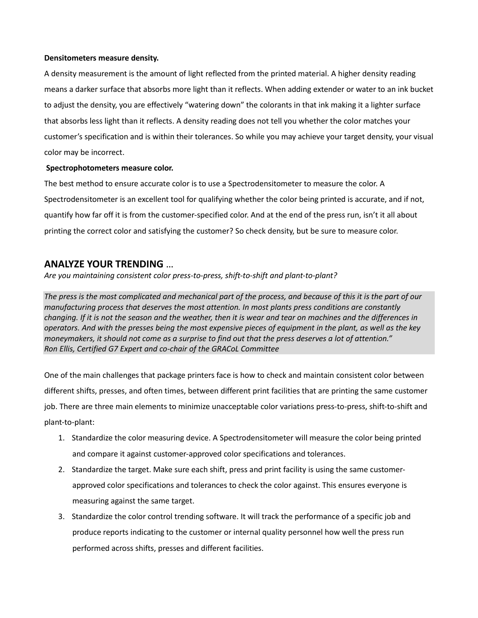#### **Densitometers measure density.**

A density measurement is the amount of light reflected from the printed material. A higher density reading means a darker surface that absorbs more light than it reflects. When adding extender or water to an ink bucket to adjust the density, you are effectively "watering down" the colorants in that ink making it a lighter surface that absorbs less light than it reflects. A density reading does not tell you whether the color matches your customer's specification and is within their tolerances. So while you may achieve your target density, your visual color may be incorrect.

#### **Spectrophotometers measure color.**

The best method to ensure accurate color is to use a Spectrodensitometer to measure the color. A Spectrodensitometer is an excellent tool for qualifying whether the color being printed is accurate, and if not, quantify how far off it is from the customer-specified color. And at the end of the press run, isn't it all about printing the correct color and satisfying the customer? So check density, but be sure to measure color.

### **ANALYZE YOUR TRENDING** …

*Are you maintaining consistent color press-to-press, shift-to-shift and plant-to-plant?*

*The press is the most complicated and mechanical part of the process, and because of this it is the part of our manufacturing process that deserves the most attention. In most plants press conditions are constantly changing. If it is not the season and the weather, then it is wear and tear on machines and the differences in operators. And with the presses being the most expensive pieces of equipment in the plant, as well as the key moneymakers, it should not come as a surprise to find out that the press deserves a lot of attention." Ron Ellis, Certified G7 Expert and co-chair of the GRACoL Committee*

One of the main challenges that package printers face is how to check and maintain consistent color between different shifts, presses, and often times, between different print facilities that are printing the same customer job. There are three main elements to minimize unacceptable color variations press-to-press, shift-to-shift and plant-to-plant:

- 1. Standardize the color measuring device. A Spectrodensitometer will measure the color being printed and compare it against customer-approved color specifications and tolerances.
- 2. Standardize the target. Make sure each shift, press and print facility is using the same customerapproved color specifications and tolerances to check the color against. This ensures everyone is measuring against the same target.
- 3. Standardize the color control trending software. It will track the performance of a specific job and produce reports indicating to the customer or internal quality personnel how well the press run performed across shifts, presses and different facilities.